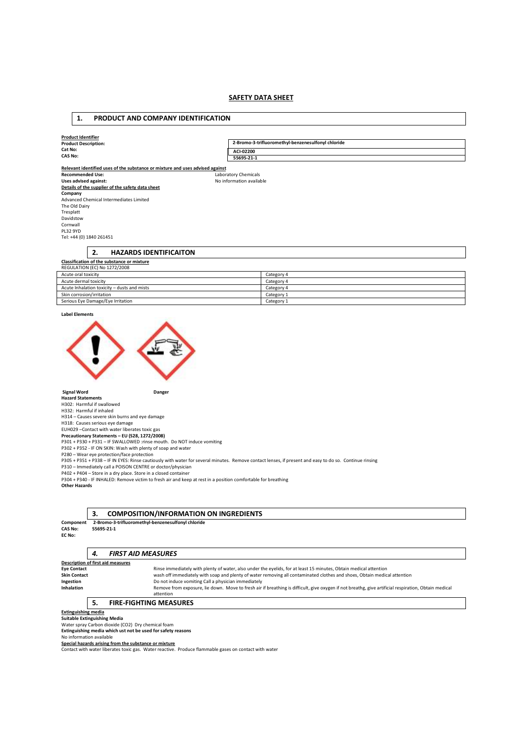# **SAFETY DATA SHEET**

# **1. PRODUCT AND COMPANY IDENTIFICATION**

| <b>Product Identifier</b>                                                     |                                                    |  |  |  |  |  |
|-------------------------------------------------------------------------------|----------------------------------------------------|--|--|--|--|--|
| <b>Product Description:</b>                                                   | 2-Bromo-3-trifluoromethyl-benzenesulfonyl chloride |  |  |  |  |  |
| Cat No:                                                                       | ACI-02200                                          |  |  |  |  |  |
| <b>CAS No:</b>                                                                | 55695-21-1                                         |  |  |  |  |  |
|                                                                               |                                                    |  |  |  |  |  |
| Relevant identified uses of the substance or mixture and uses advised against |                                                    |  |  |  |  |  |
| <b>Recommended Use:</b>                                                       | Laboratory Chemicals                               |  |  |  |  |  |
| Uses advised against:                                                         | No information available                           |  |  |  |  |  |
| Details of the supplier of the safety data sheet                              |                                                    |  |  |  |  |  |
| Company                                                                       |                                                    |  |  |  |  |  |
| Advanced Chemical Intermediates Limited                                       |                                                    |  |  |  |  |  |
| The Old Dairy                                                                 |                                                    |  |  |  |  |  |
| Tresplatt                                                                     |                                                    |  |  |  |  |  |
| Davidstow                                                                     |                                                    |  |  |  |  |  |
| Cornwall                                                                      |                                                    |  |  |  |  |  |
| <b>PL32 9YD</b>                                                               |                                                    |  |  |  |  |  |
| Tel: +44 (0) 1840 261451                                                      |                                                    |  |  |  |  |  |
|                                                                               |                                                    |  |  |  |  |  |
| 2.<br><b>HAZARDS IDENTIFICAITON</b>                                           |                                                    |  |  |  |  |  |
| Classification of the substance or mixture                                    |                                                    |  |  |  |  |  |
| <b>REGULATION (EC) No 1272/2008</b>                                           |                                                    |  |  |  |  |  |
| Acute oral toxicity                                                           | Category 4                                         |  |  |  |  |  |
| Acute dermal toxicity                                                         | Category 4                                         |  |  |  |  |  |
| A subsidiate del proposito di contrato del solo del anterio                   | $Cother \sim 1$                                    |  |  |  |  |  |

| Acute oral toxicity                         | Category 4 |
|---------------------------------------------|------------|
| Acute dermal toxicity                       | Category 4 |
| Acute Inhalation toxicity - dusts and mists | Category 4 |
| Skin corrosion/irritation                   | Category 1 |
| Serious Eye Damage/Eye Irritation           | Category 1 |

**Label Elements** 



P280 – Wear eye protection/face protection<br>P305 + P351 + P338 – IF IN EYES: Rinse cautiously with water for several minutes. Remove contact lenses, if present and easy to do so. Continue rinsing

P310 – Immediately call a POISON CENTRE or doctor/physician<br>P402 + P404 – Store in a dry place. Store in a closed container<br>P304 + P340 - IF INHALED: Remove victim to fresh air and keep at rest in a position comfortable fo

**Other Hazards**

# **3. COMPOSITION/INFORMATION ON INGREDIENTS**

2-Bromo-3-trifluoromethyl-benzenesulfonyl chloride<br>55695-21-1 **Component**<br>CAS No:

**EC No:** 

## *4. FIRST AID MEASURES*

| <b>Description of first aid measures</b> |                                                                                                                                                      |
|------------------------------------------|------------------------------------------------------------------------------------------------------------------------------------------------------|
| <b>Eye Contact</b>                       | Rinse immediately with plenty of water, also under the eyelids, for at least 15 minutes, Obtain medical attention                                    |
| <b>Skin Contact</b>                      | wash off immediately with soap and plenty of water removing all contaminated clothes and shoes, Obtain medical attention                             |
| Ingestion                                | Do not induce vomiting Call a physician immediately                                                                                                  |
| <b>Inhalation</b>                        | Remove from exposure, lie down. Move to fresh air if breathing is difficult, give oxygen if not breathg, give artificial respiration, Obtain medical |
|                                          | attention                                                                                                                                            |
|                                          | <b>FIRE-FIGHTING MEASURES</b>                                                                                                                        |
| <b>Extinguishing media</b>               |                                                                                                                                                      |

**Suitable Extinguishing Media**  Water spray Carbon dioxide (CO2) Dry chemical foam

**Extinguishing media which ust not be used for safety reasons**  No information available

**Special hazards arising from the substance or mixture**  Contact with water liberates toxic gas. Water reactive. Produce flammable gases on contact with water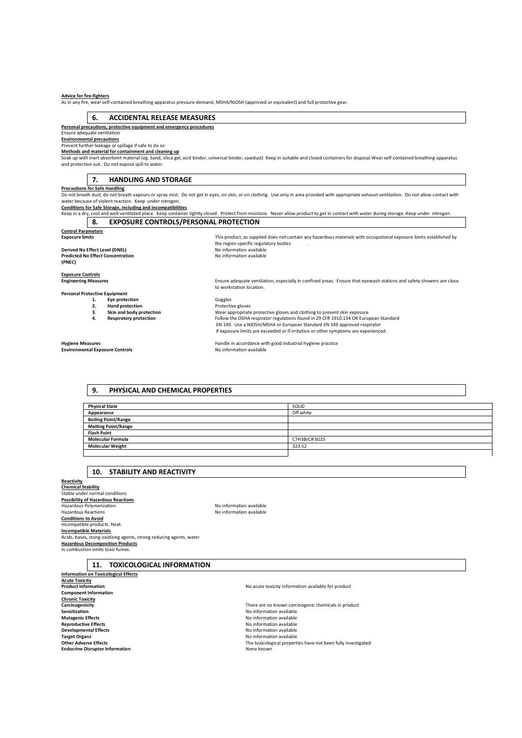#### **Advice for fire-fighters**

As in any fire, wear self-contained breathing apparatus pressure-demand, MSHA/NIOSH (approved or equivalent) and full protective gear.

#### **6. ACCIDENTAL RELEASE MEASURES**

**Personal precautions, protective equipment and emergency procedures**  Ensure adequate ventilation

**Environmental precautions**  Prevent further leakage or spillage if safe to do so

**Methods and material for containment and cleaning up** 

Soak up with inert absorbent material (eg. Sand, silica gel, acid binder, universal binder, sawdust) Keep in suitable and closed containers for disposal Wear self-contained breathing apparatus and protective suit. Do not expose spill to water.

#### **7. HANDLING AND STORAGE**

<u>Precautions for Safe Handling</u><br>Do not breath dust, do not breath vapours or spray mist. Do not get in eyes, on skin, or on clothing. Use only in area provided with appropriate exhaust ventilation. Do not allow contact wit water because of violent reaction. Keep under nitrogen.

**Conditions for Safe Storage, including and incompatibilities** 

|                                                    | Keep in a dry, cool and well-ventilated place. Keep container tightly closed. Protect from moisture. Never allow product to get in contact with water during storage. Keep under nitrogen. |  |  |  |
|----------------------------------------------------|--------------------------------------------------------------------------------------------------------------------------------------------------------------------------------------------|--|--|--|
| 8.<br><b>EXPOSURE CONTROLS/PERSONAL PROTECTION</b> |                                                                                                                                                                                            |  |  |  |
| <b>Control Parameters</b>                          |                                                                                                                                                                                            |  |  |  |
| <b>Exposure limits</b>                             | This product, as supplied does not contain any hazardous materials with occupational exposure limits established by                                                                        |  |  |  |
|                                                    | the region specific regulatory bodies                                                                                                                                                      |  |  |  |
| Derived No Effect Level (DNEL)                     | No information available                                                                                                                                                                   |  |  |  |
| <b>Predicted No Effect Concentration</b>           | No information available                                                                                                                                                                   |  |  |  |
| (PNEC)                                             |                                                                                                                                                                                            |  |  |  |
| <b>Exposure Controls</b>                           |                                                                                                                                                                                            |  |  |  |
| <b>Engineering Measures</b>                        | Ensure adequate ventilation, especially in confined areas. Ensure that eyewash stations and safety showers are close                                                                       |  |  |  |
|                                                    | to workstation location.                                                                                                                                                                   |  |  |  |
| <b>Personal Protective Equipment</b>               |                                                                                                                                                                                            |  |  |  |
| Eye protection<br>1.                               | Goggles                                                                                                                                                                                    |  |  |  |
| <b>Hand protection</b><br>2.                       | Protective gloves                                                                                                                                                                          |  |  |  |
| Skin and body protection<br>з.                     | Wear appropriate protective gloves and clothing to prevent skin exposure                                                                                                                   |  |  |  |
| <b>Respiratory protection</b><br>4.                | Follow the OSHA respirator regulations found in 29 CFR 1910.134 OR European Standard                                                                                                       |  |  |  |
|                                                    | EN 149. Use a NIOSH/MSHA or European Standard EN 149 approved respirator                                                                                                                   |  |  |  |
|                                                    | if exposure limits are exceeded or if irritation or other symptoms are experienced.                                                                                                        |  |  |  |
| <b>Hygiene Measures</b>                            | Handle in accordance with good industrial hygiene practice                                                                                                                                 |  |  |  |
| <b>Environmental Exposure Controls</b>             | No information available                                                                                                                                                                   |  |  |  |

### **9. PHYSICAL AND CHEMICAL PROPERTIES**

| <b>Physical State</b>      | SOLID         |
|----------------------------|---------------|
| Appearance                 | Off white     |
| <b>Boiling Point/Range</b> |               |
| <b>Melting Point/Range</b> |               |
| <b>Flash Point</b>         |               |
| <b>Molecular Formula</b>   | C7H3BrClF3O2S |
| <b>Molecular Weight</b>    | 323.52        |
|                            |               |

#### **10. STABILITY AND REACTIVITY**

**Reactivity Chemical Stability**  Stable under normal conditions **Possibility of Hazardous Reactions**  Hazardous Polymerization No information available Hazardous Reactions No information available **Conditions to Avoid**  Incompatible products. Heat. **Incompatible Materials**  Acids, bases, stong oxidizing agents, strong reducing agents, water **Hazardous Decomposition Products**  In combustion emits toxic fumes.

# **11. TOXICOLOGICAL INFORMATION**

**Information on Toxicological Effects Acute Toxicity Component Information Chronic Toxicity Sensitization** No information available **Mutagenic Effects**<br> **Mutagenic Effects**<br> **Mutagenic Effects**<br> **Reproductive Effects**<br> **Reproductive Effects Reproductive Effects**<br> **Reproductive Effects**<br> **Developmental Effects**<br> **No information available Developmental Effects**<br> **Developmental Effects**<br> **Developmental Effects**<br> **Developmental Effects**<br>
No information available **Other Adverse Effects** The toxicological properties have not been fully investigated<br> **Endocrine Disruptor Information**<br> **Endocrine Disruptor Information Endocrine Disruptor Information** 

**Carcinogenicity**<br> **Carcinogenicity**<br> **Carcinogenicity**<br> **Carcinogenicity**<br> **Carcinogenicity**<br> **Carcinogenic chemicals in product**<br> **Carcinogenic chemicals in product**<br> **Carcinogenic chemicals in product Target Organs** No information available

**Product Information** No acute toxicity information available for product